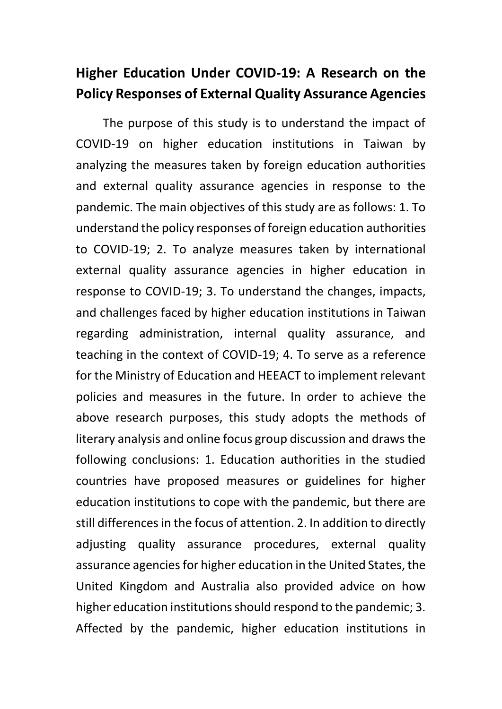## **Higher Education Under COVID-19: A Research on the Policy Responses of External Quality Assurance Agencies**

The purpose of this study is to understand the impact of COVID-19 on higher education institutions in Taiwan by analyzing the measures taken by foreign education authorities and external quality assurance agencies in response to the pandemic. The main objectives of this study are as follows: 1. To understand the policy responses of foreign education authorities to COVID-19; 2. To analyze measures taken by international external quality assurance agencies in higher education in response to COVID-19; 3. To understand the changes, impacts, and challenges faced by higher education institutions in Taiwan regarding administration, internal quality assurance, and teaching in the context of COVID-19; 4. To serve as a reference for the Ministry of Education and HEEACT to implement relevant policies and measures in the future. In order to achieve the above research purposes, this study adopts the methods of literary analysis and online focus group discussion and draws the following conclusions: 1. Education authorities in the studied countries have proposed measures or guidelines for higher education institutions to cope with the pandemic, but there are still differences in the focus of attention. 2. In addition to directly adjusting quality assurance procedures, external quality assurance agencies for higher education in the United States, the United Kingdom and Australia also provided advice on how higher education institutions should respond to the pandemic; 3. Affected by the pandemic, higher education institutions in